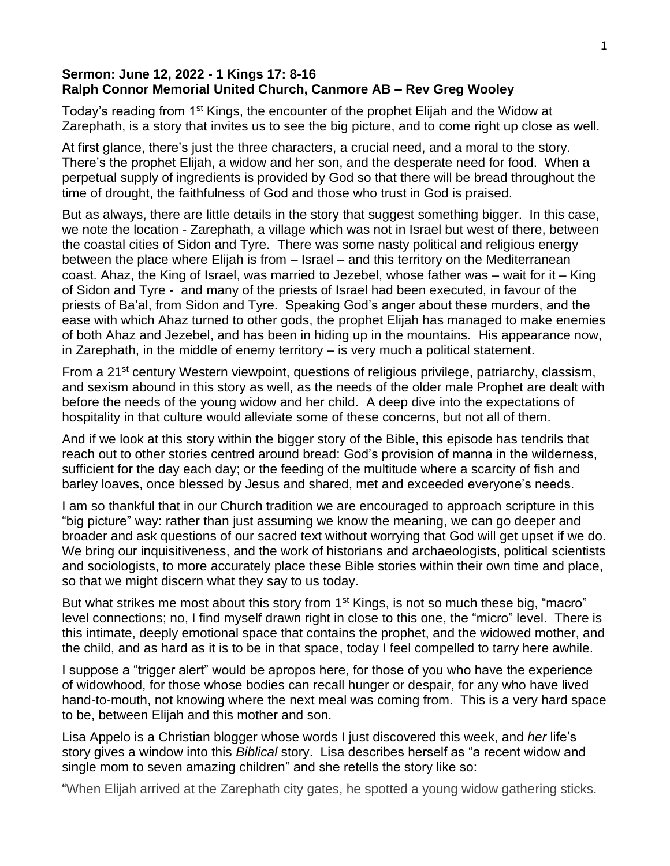## **Sermon: June 12, 2022 - 1 Kings 17: 8-16 Ralph Connor Memorial United Church, Canmore AB – Rev Greg Wooley**

Today's reading from 1<sup>st</sup> Kings, the encounter of the prophet Elijah and the Widow at Zarephath, is a story that invites us to see the big picture, and to come right up close as well.

At first glance, there's just the three characters, a crucial need, and a moral to the story. There's the prophet Elijah, a widow and her son, and the desperate need for food. When a perpetual supply of ingredients is provided by God so that there will be bread throughout the time of drought, the faithfulness of God and those who trust in God is praised.

But as always, there are little details in the story that suggest something bigger. In this case, we note the location - Zarephath, a village which was not in Israel but west of there, between the coastal cities of Sidon and Tyre. There was some nasty political and religious energy between the place where Elijah is from – Israel – and this territory on the Mediterranean coast. Ahaz, the King of Israel, was married to Jezebel, whose father was – wait for it – King of Sidon and Tyre - and many of the priests of Israel had been executed, in favour of the priests of Ba'al, from Sidon and Tyre. Speaking God's anger about these murders, and the ease with which Ahaz turned to other gods, the prophet Elijah has managed to make enemies of both Ahaz and Jezebel, and has been in hiding up in the mountains. His appearance now, in Zarephath, in the middle of enemy territory – is very much a political statement.

From a 21<sup>st</sup> century Western viewpoint, questions of religious privilege, patriarchy, classism, and sexism abound in this story as well, as the needs of the older male Prophet are dealt with before the needs of the young widow and her child. A deep dive into the expectations of hospitality in that culture would alleviate some of these concerns, but not all of them.

And if we look at this story within the bigger story of the Bible, this episode has tendrils that reach out to other stories centred around bread: God's provision of manna in the wilderness, sufficient for the day each day; or the feeding of the multitude where a scarcity of fish and barley loaves, once blessed by Jesus and shared, met and exceeded everyone's needs.

I am so thankful that in our Church tradition we are encouraged to approach scripture in this "big picture" way: rather than just assuming we know the meaning, we can go deeper and broader and ask questions of our sacred text without worrying that God will get upset if we do. We bring our inquisitiveness, and the work of historians and archaeologists, political scientists and sociologists, to more accurately place these Bible stories within their own time and place, so that we might discern what they say to us today.

But what strikes me most about this story from 1<sup>st</sup> Kings, is not so much these big, "macro" level connections; no, I find myself drawn right in close to this one, the "micro" level. There is this intimate, deeply emotional space that contains the prophet, and the widowed mother, and the child, and as hard as it is to be in that space, today I feel compelled to tarry here awhile.

I suppose a "trigger alert" would be apropos here, for those of you who have the experience of widowhood, for those whose bodies can recall hunger or despair, for any who have lived hand-to-mouth, not knowing where the next meal was coming from. This is a very hard space to be, between Elijah and this mother and son.

Lisa Appelo is a Christian blogger whose words I just discovered this week, and *her* life's story gives a window into this *Biblical* story. Lisa describes herself as "a recent widow and single mom to seven amazing children" and she retells the story like so:

"When Elijah arrived at the Zarephath city gates, he spotted a young widow gathering sticks.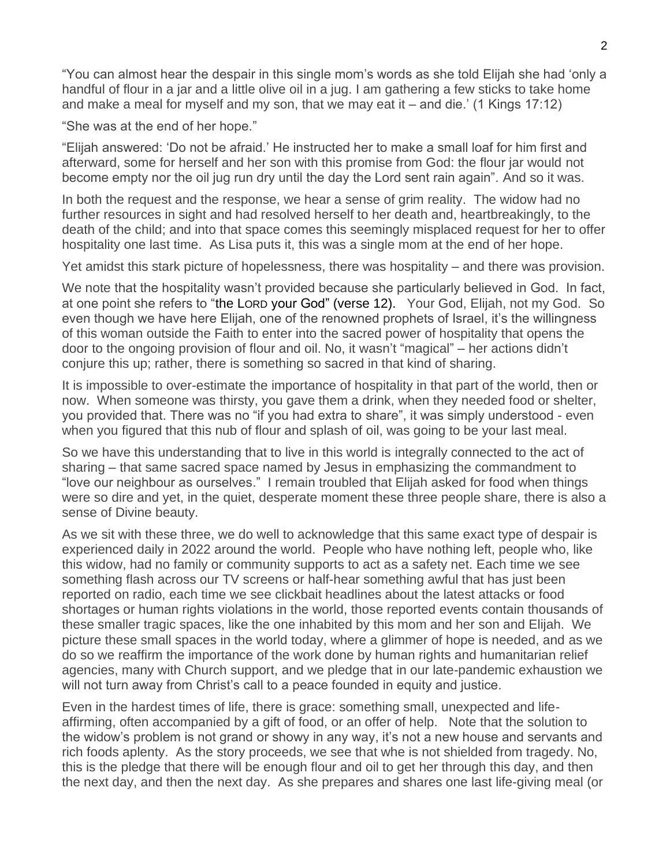"You can almost hear the despair in this single mom's words as she told Elijah she had 'only a handful of flour in a jar and a little olive oil in a jug. I am gathering a few sticks to take home and make a meal for myself and my son, that we may eat it – and die.' (1 Kings 17:12)

"She was at the end of her hope."

"Elijah answered: 'Do not be afraid.' He instructed her to make a small loaf for him first and afterward, some for herself and her son with this promise from God: the flour jar would not become empty nor the oil jug run dry until the day the Lord sent rain again". And so it was.

In both the request and the response, we hear a sense of grim reality. The widow had no further resources in sight and had resolved herself to her death and, heartbreakingly, to the death of the child; and into that space comes this seemingly misplaced request for her to offer hospitality one last time. As Lisa puts it, this was a single mom at the end of her hope.

Yet amidst this stark picture of hopelessness, there was hospitality – and there was provision.

We note that the hospitality wasn't provided because she particularly believed in God. In fact, at one point she refers to "the LORD your God" (verse 12). Your God, Elijah, not my God. So even though we have here Elijah, one of the renowned prophets of Israel, it's the willingness of this woman outside the Faith to enter into the sacred power of hospitality that opens the door to the ongoing provision of flour and oil. No, it wasn't "magical" – her actions didn't conjure this up; rather, there is something so sacred in that kind of sharing.

It is impossible to over-estimate the importance of hospitality in that part of the world, then or now. When someone was thirsty, you gave them a drink, when they needed food or shelter, you provided that. There was no "if you had extra to share", it was simply understood - even when you figured that this nub of flour and splash of oil, was going to be your last meal.

So we have this understanding that to live in this world is integrally connected to the act of sharing – that same sacred space named by Jesus in emphasizing the commandment to "love our neighbour as ourselves." I remain troubled that Elijah asked for food when things were so dire and yet, in the quiet, desperate moment these three people share, there is also a sense of Divine beauty.

As we sit with these three, we do well to acknowledge that this same exact type of despair is experienced daily in 2022 around the world. People who have nothing left, people who, like this widow, had no family or community supports to act as a safety net. Each time we see something flash across our TV screens or half-hear something awful that has just been reported on radio, each time we see clickbait headlines about the latest attacks or food shortages or human rights violations in the world, those reported events contain thousands of these smaller tragic spaces, like the one inhabited by this mom and her son and Elijah. We picture these small spaces in the world today, where a glimmer of hope is needed, and as we do so we reaffirm the importance of the work done by human rights and humanitarian relief agencies, many with Church support, and we pledge that in our late-pandemic exhaustion we will not turn away from Christ's call to a peace founded in equity and justice.

Even in the hardest times of life, there is grace: something small, unexpected and lifeaffirming, often accompanied by a gift of food, or an offer of help. Note that the solution to the widow's problem is not grand or showy in any way, it's not a new house and servants and rich foods aplenty. As the story proceeds, we see that whe is not shielded from tragedy. No, this is the pledge that there will be enough flour and oil to get her through this day, and then the next day, and then the next day. As she prepares and shares one last life-giving meal (or